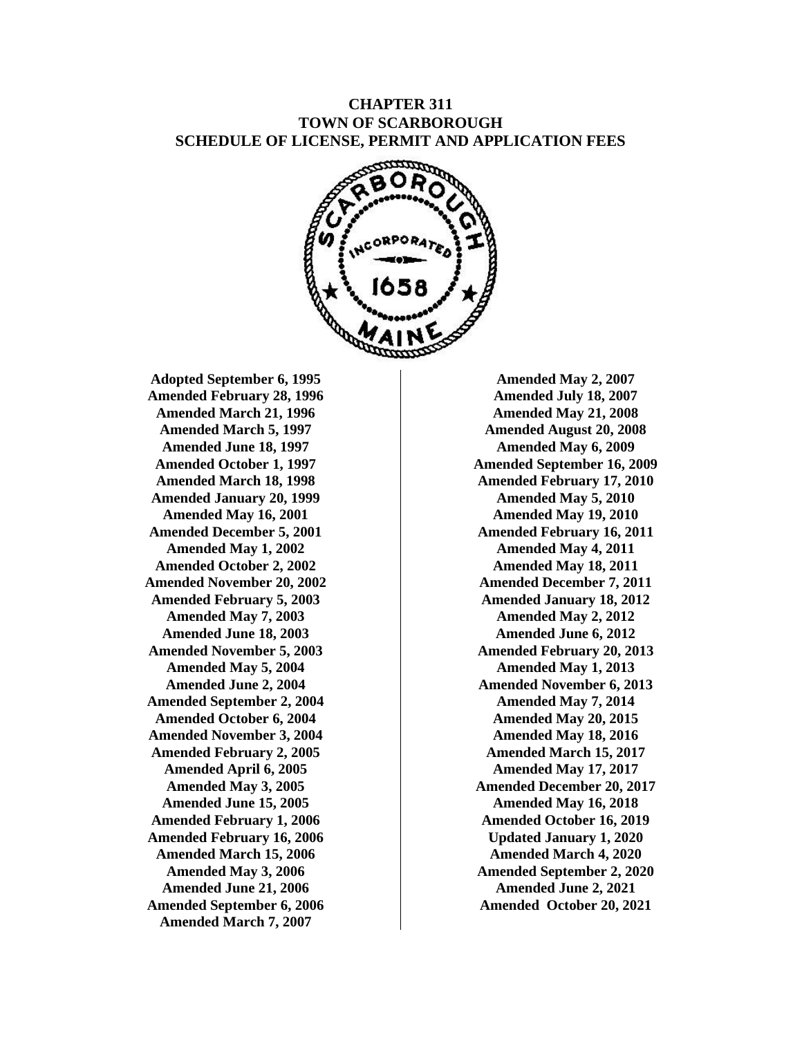## **CHAPTER 311 TOWN OF SCARBOROUGH SCHEDULE OF LICENSE, PERMIT AND APPLICATION FEES**



**Adopted September 6, 1995 Amended February 28, 1996 Amended March 21, 1996 Amended March 5, 1997 Amended June 18, 1997 Amended October 1, 1997 Amended March 18, 1998 Amended January 20, 1999 Amended May 16, 2001 Amended December 5, 2001 Amended May 1, 2002 Amended October 2, 2002 Amended November 20, 2002 Amended February 5, 2003 Amended May 7, 2003 Amended June 18, 2003 Amended November 5, 2003 Amended May 5, 2004 Amended June 2, 2004 Amended September 2, 2004 Amended October 6, 2004 Amended November 3, 2004 Amended February 2, 2005 Amended April 6, 2005 Amended May 3, 2005 Amended June 15, 2005 Amended February 1, 2006 Amended February 16, 2006 Amended March 15, 2006 Amended May 3, 2006 Amended June 21, 2006 Amended September 6, 2006 Amended March 7, 2007**

**Amended May 2, 2007 Amended July 18, 2007 Amended May 21, 2008 Amended August 20, 2008 Amended May 6, 2009 Amended September 16, 2009 Amended February 17, 2010 Amended May 5, 2010 Amended May 19, 2010 Amended February 16, 2011 Amended May 4, 2011 Amended May 18, 2011 Amended December 7, 2011 Amended January 18, 2012 Amended May 2, 2012 Amended June 6, 2012 Amended February 20, 2013 Amended May 1, 2013 Amended November 6, 2013 Amended May 7, 2014 Amended May 20, 2015 Amended May 18, 2016 Amended March 15, 2017 Amended May 17, 2017 Amended December 20, 2017 Amended May 16, 2018 Amended October 16, 2019 Updated January 1, 2020 Amended March 4, 2020 Amended September 2, 2020 Amended June 2, 2021 Amended October 20, 2021**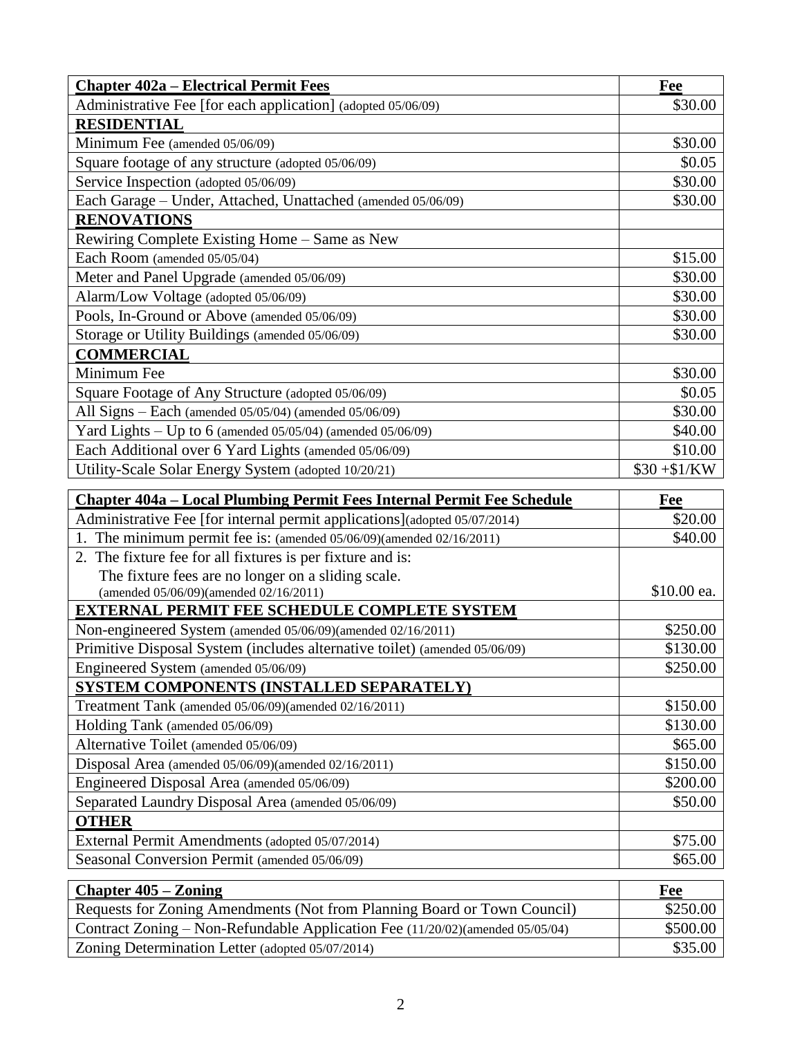| <b>Chapter 402a – Electrical Permit Fees</b>                 | Fee           |
|--------------------------------------------------------------|---------------|
| Administrative Fee [for each application] (adopted 05/06/09) | \$30.00       |
| <b>RESIDENTIAL</b>                                           |               |
| Minimum Fee (amended 05/06/09)                               | \$30.00       |
| Square footage of any structure (adopted 05/06/09)           | \$0.05        |
| Service Inspection (adopted 05/06/09)                        | \$30.00       |
| Each Garage - Under, Attached, Unattached (amended 05/06/09) | \$30.00       |
| <b>RENOVATIONS</b>                                           |               |
| Rewiring Complete Existing Home – Same as New                |               |
| Each Room (amended 05/05/04)                                 | \$15.00       |
| Meter and Panel Upgrade (amended 05/06/09)                   | \$30.00       |
| Alarm/Low Voltage (adopted 05/06/09)                         | \$30.00       |
| Pools, In-Ground or Above (amended 05/06/09)                 | \$30.00       |
| Storage or Utility Buildings (amended 05/06/09)              | \$30.00       |
| <b>COMMERCIAL</b>                                            |               |
| Minimum Fee                                                  | \$30.00       |
| Square Footage of Any Structure (adopted 05/06/09)           | \$0.05        |
| All Signs - Each (amended 05/05/04) (amended 05/06/09)       | \$30.00       |
| Yard Lights - Up to 6 (amended 05/05/04) (amended 05/06/09)  | \$40.00       |
| Each Additional over 6 Yard Lights (amended 05/06/09)        | \$10.00       |
| Utility-Scale Solar Energy System (adopted 10/20/21)         | $$30 + $1/KW$ |

| Chapter 404a – Local Plumbing Permit Fees Internal Permit Fee Schedule     | Fee         |
|----------------------------------------------------------------------------|-------------|
| Administrative Fee [for internal permit applications](adopted 05/07/2014)  | \$20.00     |
| 1. The minimum permit fee is: (amended $05/06/09$ )(amended $02/16/2011$ ) | \$40.00     |
| 2. The fixture fee for all fixtures is per fixture and is:                 |             |
| The fixture fees are no longer on a sliding scale.                         |             |
| (amended 05/06/09)(amended 02/16/2011)                                     | \$10.00 ea. |
| <b>EXTERNAL PERMIT FEE SCHEDULE COMPLETE SYSTEM</b>                        |             |
| Non-engineered System (amended 05/06/09)(amended 02/16/2011)               | \$250.00    |
| Primitive Disposal System (includes alternative toilet) (amended 05/06/09) | \$130.00    |
| Engineered System (amended 05/06/09)                                       | \$250.00    |
| SYSTEM COMPONENTS (INSTALLED SEPARATELY)                                   |             |
| Treatment Tank (amended 05/06/09)(amended 02/16/2011)                      | \$150.00    |
| Holding Tank (amended 05/06/09)                                            | \$130.00    |
| Alternative Toilet (amended 05/06/09)                                      | \$65.00     |
| Disposal Area (amended 05/06/09)(amended 02/16/2011)                       | \$150.00    |
| Engineered Disposal Area (amended 05/06/09)                                | \$200.00    |
| Separated Laundry Disposal Area (amended 05/06/09)                         | \$50.00     |
| <b>OTHER</b>                                                               |             |
| External Permit Amendments (adopted 05/07/2014)                            | \$75.00     |
| Seasonal Conversion Permit (amended 05/06/09)                              | \$65.00     |

| <b>Chapter 405 – Zoning</b>                                                   | Fee      |
|-------------------------------------------------------------------------------|----------|
| Requests for Zoning Amendments (Not from Planning Board or Town Council)      | \$250.00 |
| Contract Zoning – Non-Refundable Application Fee (11/20/02)(amended 05/05/04) | \$500.00 |
| Zoning Determination Letter (adopted 05/07/2014)                              | \$35.00  |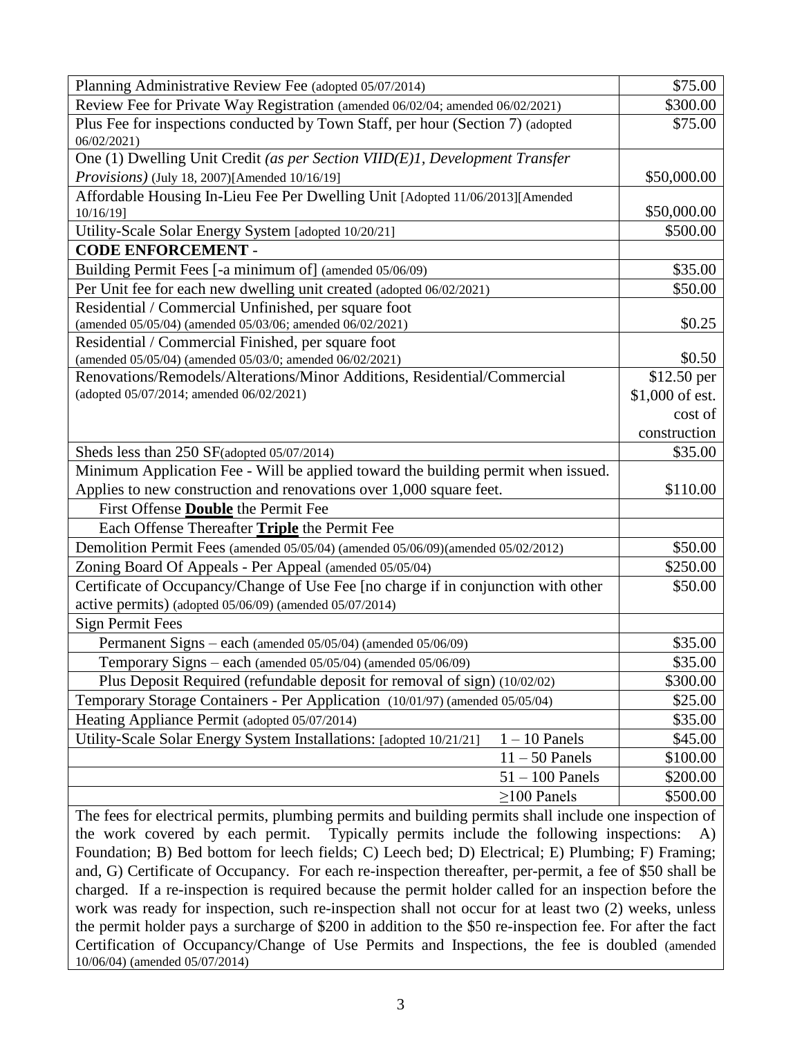| Planning Administrative Review Fee (adopted 05/07/2014)                                       | \$75.00         |
|-----------------------------------------------------------------------------------------------|-----------------|
| Review Fee for Private Way Registration (amended 06/02/04; amended 06/02/2021)                | \$300.00        |
| Plus Fee for inspections conducted by Town Staff, per hour (Section 7) (adopted<br>06/02/2021 | \$75.00         |
| One (1) Dwelling Unit Credit (as per Section VIID(E)1, Development Transfer                   |                 |
| Provisions) (July 18, 2007)[Amended 10/16/19]                                                 | \$50,000.00     |
| Affordable Housing In-Lieu Fee Per Dwelling Unit [Adopted 11/06/2013][Amended                 |                 |
| 10/16/19]                                                                                     | \$50,000.00     |
| Utility-Scale Solar Energy System [adopted 10/20/21]                                          | \$500.00        |
| <b>CODE ENFORCEMENT -</b>                                                                     |                 |
| Building Permit Fees [-a minimum of] (amended 05/06/09)                                       | \$35.00         |
| Per Unit fee for each new dwelling unit created (adopted 06/02/2021)                          | \$50.00         |
| Residential / Commercial Unfinished, per square foot                                          |                 |
| (amended 05/05/04) (amended 05/03/06; amended 06/02/2021)                                     | \$0.25          |
| Residential / Commercial Finished, per square foot                                            |                 |
| (amended 05/05/04) (amended 05/03/0; amended 06/02/2021)                                      | \$0.50          |
| Renovations/Remodels/Alterations/Minor Additions, Residential/Commercial                      | \$12.50 per     |
| (adopted 05/07/2014; amended 06/02/2021)                                                      | \$1,000 of est. |
|                                                                                               | cost of         |
|                                                                                               | construction    |
| Sheds less than 250 SF(adopted 05/07/2014)                                                    | \$35.00         |
| Minimum Application Fee - Will be applied toward the building permit when issued.             |                 |
| Applies to new construction and renovations over 1,000 square feet.                           | \$110.00        |
| First Offense <b>Double</b> the Permit Fee                                                    |                 |
| Each Offense Thereafter Triple the Permit Fee                                                 |                 |
| Demolition Permit Fees (amended 05/05/04) (amended 05/06/09)(amended 05/02/2012)              | \$50.00         |
| Zoning Board Of Appeals - Per Appeal (amended 05/05/04)                                       | \$250.00        |
| Certificate of Occupancy/Change of Use Fee [no charge if in conjunction with other            | \$50.00         |
| active permits) (adopted 05/06/09) (amended 05/07/2014)                                       |                 |
| <b>Sign Permit Fees</b>                                                                       |                 |
| Permanent Signs - each (amended 05/05/04) (amended 05/06/09)                                  | \$35.00         |
| Temporary Signs - each (amended 05/05/04) (amended 05/06/09)                                  | \$35.00         |
| Plus Deposit Required (refundable deposit for removal of sign) (10/02/02)                     | \$300.00        |
| Temporary Storage Containers - Per Application (10/01/97) (amended 05/05/04)                  | \$25.00         |
| Heating Appliance Permit (adopted 05/07/2014)                                                 | \$35.00         |
| Utility-Scale Solar Energy System Installations: [adopted 10/21/21]<br>$1 - 10$ Panels        | \$45.00         |
| $11 - 50$ Panels                                                                              | \$100.00        |
| $51 - 100$ Panels                                                                             | \$200.00        |
| $\geq$ 100 Panels                                                                             | \$500.00        |

The fees for electrical permits, plumbing permits and building permits shall include one inspection of the work covered by each permit. Typically permits include the following inspections: A) Foundation; B) Bed bottom for leech fields; C) Leech bed; D) Electrical; E) Plumbing; F) Framing; and, G) Certificate of Occupancy. For each re-inspection thereafter, per-permit, a fee of \$50 shall be charged. If a re-inspection is required because the permit holder called for an inspection before the work was ready for inspection, such re-inspection shall not occur for at least two (2) weeks, unless the permit holder pays a surcharge of \$200 in addition to the \$50 re-inspection fee. For after the fact Certification of Occupancy/Change of Use Permits and Inspections, the fee is doubled (amended 10/06/04) (amended 05/07/2014)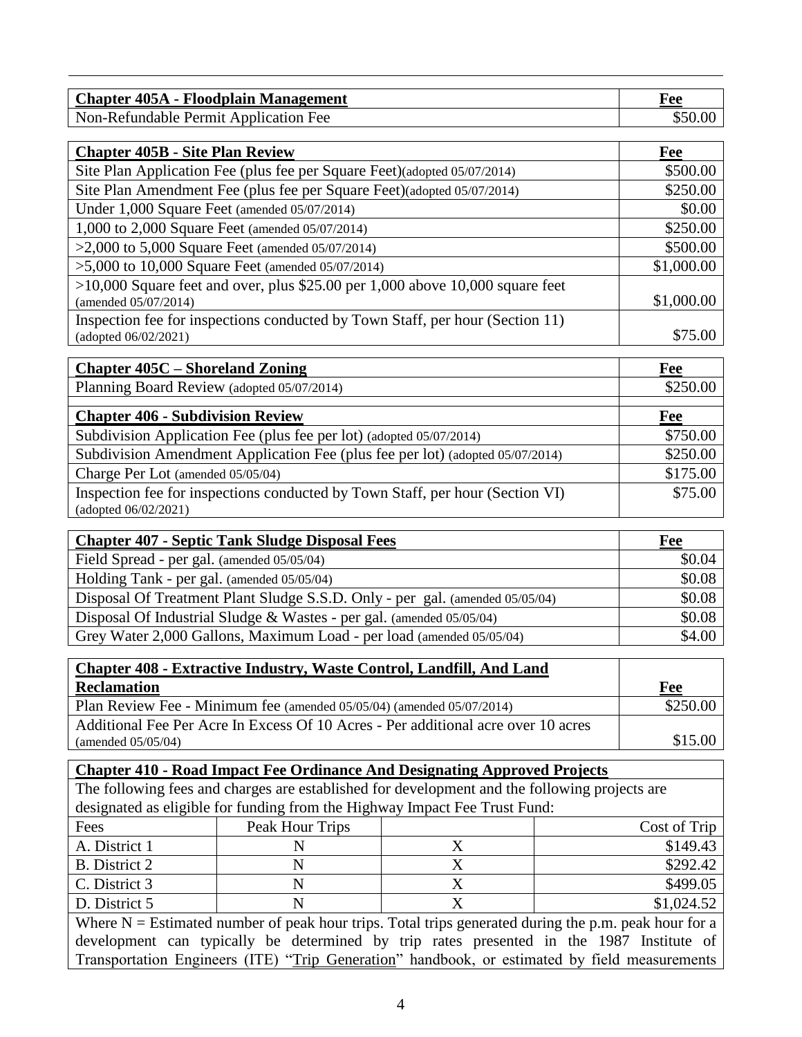| <b>Chapter 405A - Floodplain Management</b> | <sup>k'</sup> ee |
|---------------------------------------------|------------------|
| Non-Refundable Permit Application Fee       |                  |

| <b>Chapter 405B - Site Plan Review</b>                                          | Fee        |
|---------------------------------------------------------------------------------|------------|
| Site Plan Application Fee (plus fee per Square Feet)(adopted 05/07/2014)        | \$500.00   |
| Site Plan Amendment Fee (plus fee per Square Feet)(adopted 05/07/2014)          | \$250.00   |
| Under 1,000 Square Feet (amended 05/07/2014)                                    | \$0.00     |
| 1,000 to 2,000 Square Feet (amended 05/07/2014)                                 | \$250.00   |
| $>2,000$ to 5,000 Square Feet (amended 05/07/2014)                              | \$500.00   |
| $>5,000$ to 10,000 Square Feet (amended 05/07/2014)                             | \$1,000.00 |
| $>10,000$ Square feet and over, plus \$25.00 per 1,000 above 10,000 square feet |            |
| (amended 05/07/2014)                                                            | \$1,000.00 |
| Inspection fee for inspections conducted by Town Staff, per hour (Section 11)   |            |
| (adopted 06/02/2021)                                                            | \$75.00    |

| <b>Chapter 405C – Shoreland Zoning</b>                                        | Fee      |
|-------------------------------------------------------------------------------|----------|
| Planning Board Review (adopted 05/07/2014)                                    | \$250.00 |
| <b>Chapter 406 - Subdivision Review</b>                                       | Fee      |
| Subdivision Application Fee (plus fee per lot) (adopted 05/07/2014)           | \$750.00 |
| Subdivision Amendment Application Fee (plus fee per lot) (adopted 05/07/2014) | \$250.00 |
| Charge Per Lot (amended 05/05/04)                                             | \$175.00 |
| Inspection fee for inspections conducted by Town Staff, per hour (Section VI) | \$75.00  |
| (adopted $06/02/2021$ )                                                       |          |

| <b>Chapter 407 - Septic Tank Sludge Disposal Fees</b>                        | Fee    |
|------------------------------------------------------------------------------|--------|
| Field Spread - per gal. (amended 05/05/04)                                   | \$0.04 |
| Holding Tank - per gal. (amended 05/05/04)                                   | \$0.08 |
| Disposal Of Treatment Plant Sludge S.S.D. Only - per gal. (amended 05/05/04) | \$0.08 |
| Disposal Of Industrial Sludge & Wastes - per gal. (amended 05/05/04)         | \$0.08 |
| Grey Water 2,000 Gallons, Maximum Load - per load (amended 05/05/04)         | \$4.00 |

| <b>Chapter 408 - Extractive Industry, Waste Control, Landfill, And Land</b>       |          |
|-----------------------------------------------------------------------------------|----------|
| <b>Reclamation</b>                                                                | Fee      |
| Plan Review Fee - Minimum fee (amended 05/05/04) (amended 05/07/2014)             | \$250.00 |
| Additional Fee Per Acre In Excess Of 10 Acres - Per additional acre over 10 acres |          |
| (amended $05/05/04$ )                                                             | \$15.00  |

|                      | <b>Chapter 410 - Road Impact Fee Ordinance And Designating Approved Projects</b>              |   |                                                                                                        |
|----------------------|-----------------------------------------------------------------------------------------------|---|--------------------------------------------------------------------------------------------------------|
|                      | The following fees and charges are established for development and the following projects are |   |                                                                                                        |
|                      | designated as eligible for funding from the Highway Impact Fee Trust Fund:                    |   |                                                                                                        |
| Fees                 | Peak Hour Trips                                                                               |   | Cost of Trip                                                                                           |
| A. District 1        | N                                                                                             | Х | \$149.43                                                                                               |
| <b>B.</b> District 2 | N                                                                                             | X | \$292.42                                                                                               |
| C. District 3        | N                                                                                             | X | \$499.05                                                                                               |
| D. District 5        | N                                                                                             | X | \$1,024.52                                                                                             |
|                      |                                                                                               |   | Where $N =$ Estimated number of peak hour trips. Total trips generated during the p.m. peak hour for a |
|                      |                                                                                               |   | development can typically be determined by trip rates presented in the 1987 Institute of               |

Transportation Engineers (ITE) "Trip Generation" handbook, or estimated by field measurements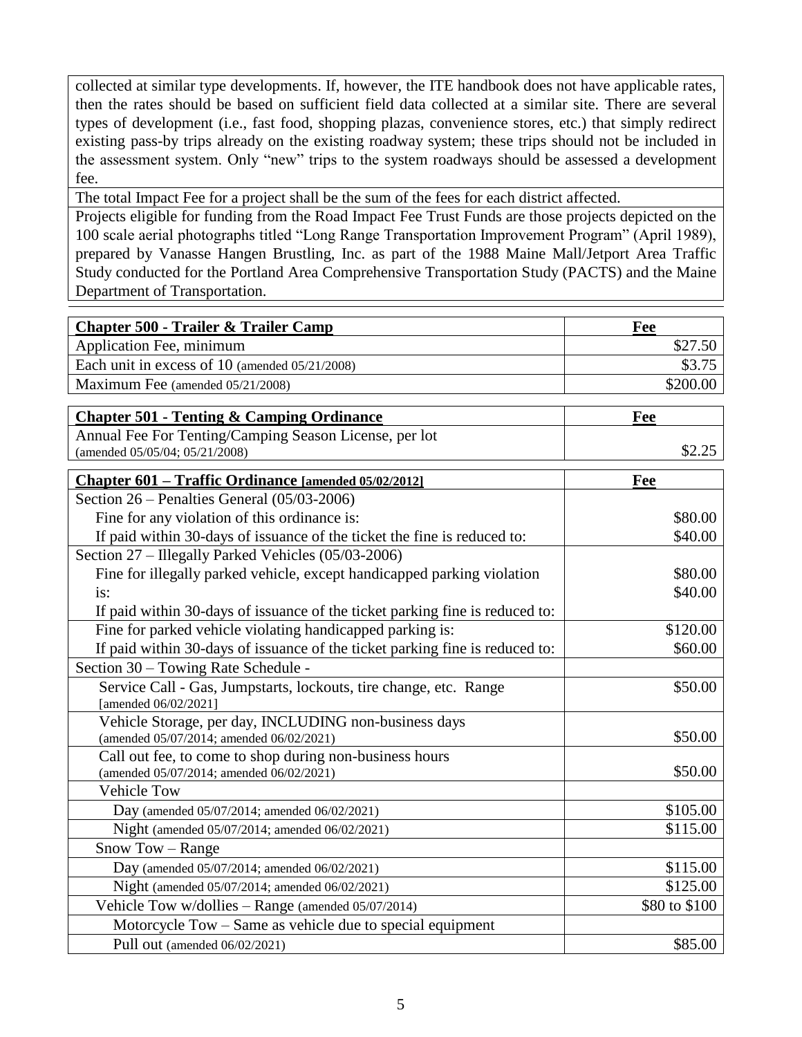collected at similar type developments. If, however, the ITE handbook does not have applicable rates, then the rates should be based on sufficient field data collected at a similar site. There are several types of development (i.e., fast food, shopping plazas, convenience stores, etc.) that simply redirect existing pass-by trips already on the existing roadway system; these trips should not be included in the assessment system. Only "new" trips to the system roadways should be assessed a development fee.

The total Impact Fee for a project shall be the sum of the fees for each district affected.

Projects eligible for funding from the Road Impact Fee Trust Funds are those projects depicted on the 100 scale aerial photographs titled "Long Range Transportation Improvement Program" (April 1989), prepared by Vanasse Hangen Brustling, Inc. as part of the 1988 Maine Mall/Jetport Area Traffic Study conducted for the Portland Area Comprehensive Transportation Study (PACTS) and the Maine Department of Transportation.

| <b>Chapter 500 - Trailer &amp; Trailer Camp</b>                                                     | Fee           |
|-----------------------------------------------------------------------------------------------------|---------------|
| Application Fee, minimum                                                                            | \$27.50       |
| Each unit in excess of 10 (amended 05/21/2008)                                                      | \$3.75        |
| Maximum Fee (amended 05/21/2008)                                                                    | \$200.00      |
|                                                                                                     |               |
| <b>Chapter 501 - Tenting &amp; Camping Ordinance</b>                                                | Fee           |
| Annual Fee For Tenting/Camping Season License, per lot                                              |               |
| (amended 05/05/04; 05/21/2008)                                                                      | \$2.25        |
| Chapter 601 – Traffic Ordinance [amended 05/02/2012]                                                | Fee           |
| Section $26$ – Penalties General (05/03-2006)                                                       |               |
| Fine for any violation of this ordinance is:                                                        | \$80.00       |
| If paid within 30-days of issuance of the ticket the fine is reduced to:                            | \$40.00       |
| Section 27 – Illegally Parked Vehicles (05/03-2006)                                                 |               |
| Fine for illegally parked vehicle, except handicapped parking violation                             | \$80.00       |
| is:                                                                                                 | \$40.00       |
| If paid within 30-days of issuance of the ticket parking fine is reduced to:                        |               |
| Fine for parked vehicle violating handicapped parking is:                                           | \$120.00      |
| If paid within 30-days of issuance of the ticket parking fine is reduced to:                        | \$60.00       |
| Section 30 - Towing Rate Schedule -                                                                 |               |
| Service Call - Gas, Jumpstarts, lockouts, tire change, etc. Range                                   | \$50.00       |
| [amended 06/02/2021]                                                                                |               |
| Vehicle Storage, per day, INCLUDING non-business days                                               |               |
| (amended 05/07/2014; amended 06/02/2021)                                                            | \$50.00       |
| Call out fee, to come to shop during non-business hours<br>(amended 05/07/2014; amended 06/02/2021) | \$50.00       |
| <b>Vehicle Tow</b>                                                                                  |               |
| Day (amended 05/07/2014; amended 06/02/2021)                                                        | \$105.00      |
| Night (amended 05/07/2014; amended 06/02/2021)                                                      | \$115.00      |
| Snow Tow - Range                                                                                    |               |
| Day (amended 05/07/2014; amended 06/02/2021)                                                        | \$115.00      |
| Night (amended 05/07/2014; amended 06/02/2021)                                                      | \$125.00      |
| Vehicle Tow w/dollies - Range (amended 05/07/2014)                                                  | \$80 to \$100 |
| Motorcycle Tow – Same as vehicle due to special equipment                                           |               |
| Pull out (amended 06/02/2021)                                                                       | \$85.00       |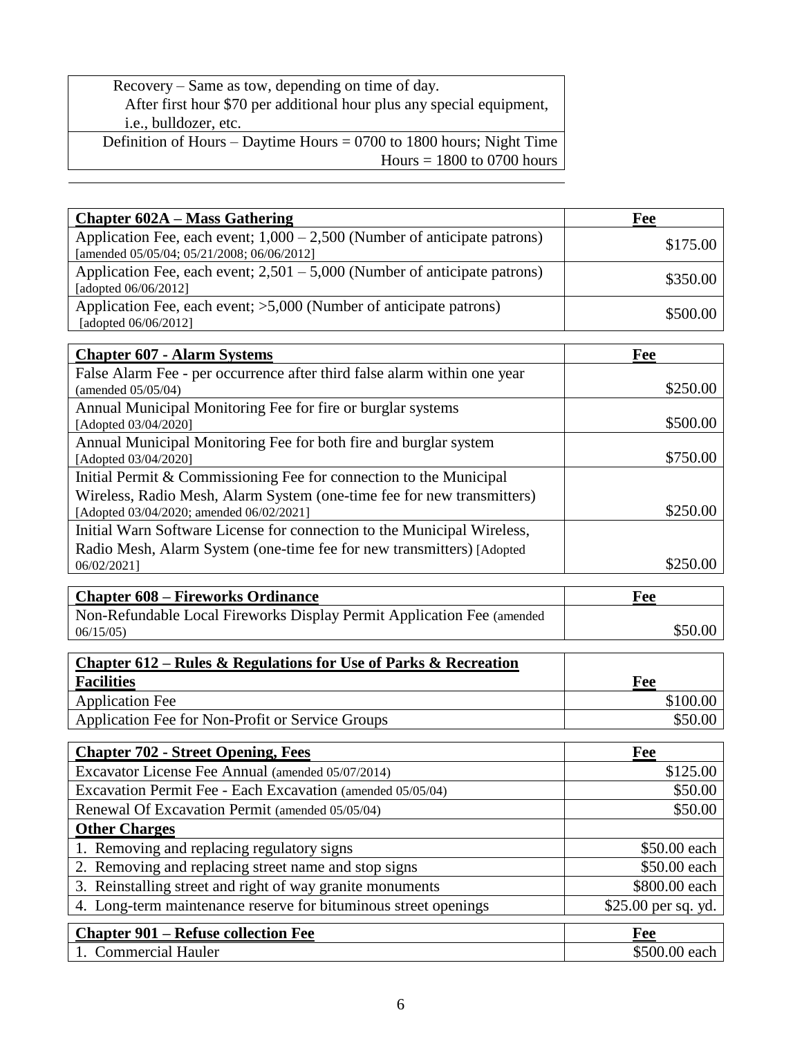Recovery – Same as tow, depending on time of day. After first hour \$70 per additional hour plus any special equipment, i.e., bulldozer, etc.

Definition of Hours – Daytime Hours = 0700 to 1800 hours; Night Time  $Hours = 1800$  to 0700 hours

| <b>Chapter 602A – Mass Gathering</b>                                                                                      | Fee                 |
|---------------------------------------------------------------------------------------------------------------------------|---------------------|
| Application Fee, each event; $1,000 - 2,500$ (Number of anticipate patrons)<br>[amended 05/05/04; 05/21/2008; 06/06/2012] | \$175.00            |
| Application Fee, each event; $2,501 - 5,000$ (Number of anticipate patrons)<br>[adopted 06/06/2012]                       | \$350.00            |
| Application Fee, each event; >5,000 (Number of anticipate patrons)<br>[adopted 06/06/2012]                                | \$500.00            |
|                                                                                                                           |                     |
| <b>Chapter 607 - Alarm Systems</b>                                                                                        | Fee                 |
| False Alarm Fee - per occurrence after third false alarm within one year<br>(amended 05/05/04)                            | \$250.00            |
| Annual Municipal Monitoring Fee for fire or burglar systems                                                               |                     |
| [Adopted 03/04/2020]                                                                                                      | \$500.00            |
| Annual Municipal Monitoring Fee for both fire and burglar system<br>[Adopted 03/04/2020]                                  | \$750.00            |
| Initial Permit & Commissioning Fee for connection to the Municipal                                                        |                     |
| Wireless, Radio Mesh, Alarm System (one-time fee for new transmitters)<br>[Adopted 03/04/2020; amended 06/02/2021]        | \$250.00            |
| Initial Warn Software License for connection to the Municipal Wireless,                                                   |                     |
| Radio Mesh, Alarm System (one-time fee for new transmitters) [Adopted                                                     |                     |
| 06/02/2021]                                                                                                               | \$250.00            |
|                                                                                                                           |                     |
|                                                                                                                           |                     |
| <b>Chapter 608 – Fireworks Ordinance</b>                                                                                  | Fee                 |
| Non-Refundable Local Fireworks Display Permit Application Fee (amended<br>06/15/05                                        | \$50.00             |
|                                                                                                                           |                     |
| <b>Chapter 612 – Rules &amp; Regulations for Use of Parks &amp; Recreation</b><br><b>Facilities</b>                       |                     |
|                                                                                                                           | Fee                 |
| <b>Application Fee</b>                                                                                                    | \$100.00<br>\$50.00 |
| Application Fee for Non-Profit or Service Groups                                                                          |                     |
| <b>Chapter 702 - Street Opening, Fees</b>                                                                                 | Fee                 |
| Excavator License Fee Annual (amended 05/07/2014)                                                                         | \$125.00            |
| Excavation Permit Fee - Each Excavation (amended 05/05/04)                                                                | \$50.00             |
| Renewal Of Excavation Permit (amended 05/05/04)                                                                           | \$50.00             |
| <b>Other Charges</b>                                                                                                      |                     |
| 1. Removing and replacing regulatory signs                                                                                | \$50.00 each        |
| 2. Removing and replacing street name and stop signs                                                                      | \$50.00 each        |
| 3. Reinstalling street and right of way granite monuments                                                                 | \$800.00 each       |
| 4. Long-term maintenance reserve for bituminous street openings                                                           | \$25.00 per sq. yd. |
| <b>Chapter 901 – Refuse collection Fee</b>                                                                                | Fee                 |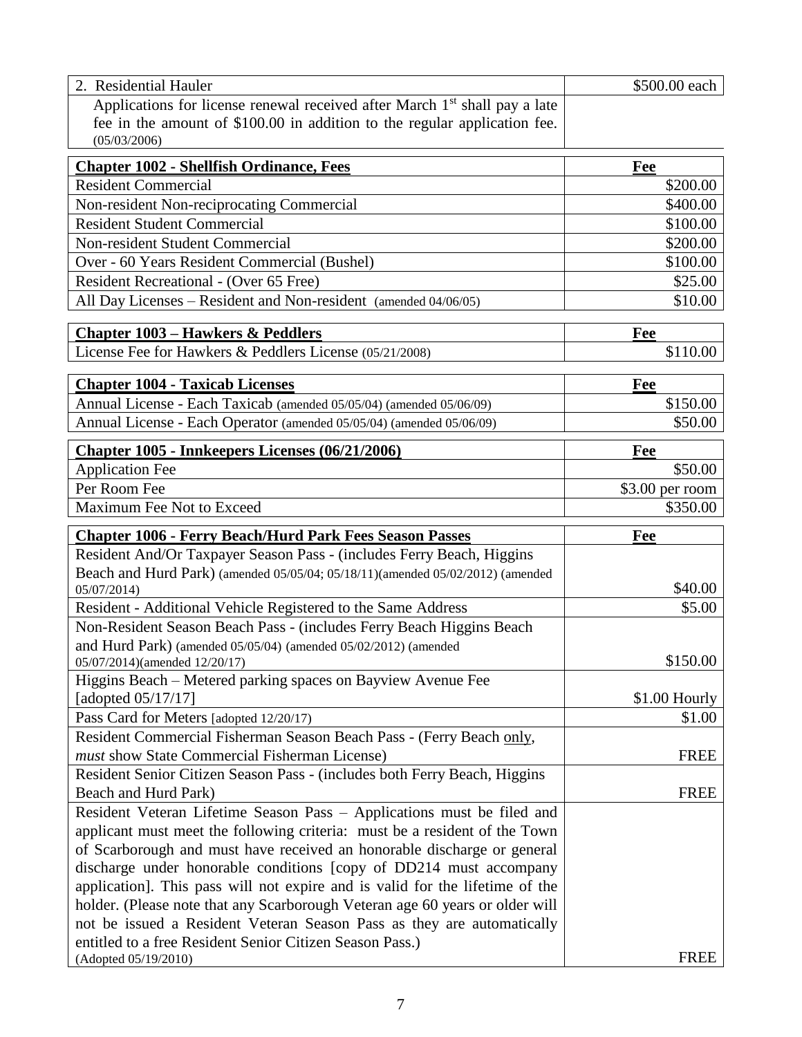| 2. Residential Hauler                                                                                                      | \$500.00 each    |
|----------------------------------------------------------------------------------------------------------------------------|------------------|
| Applications for license renewal received after March 1 <sup>st</sup> shall pay a late                                     |                  |
| fee in the amount of \$100.00 in addition to the regular application fee.                                                  |                  |
| (05/03/2006)                                                                                                               |                  |
| <b>Chapter 1002 - Shellfish Ordinance, Fees</b>                                                                            | Fee              |
| <b>Resident Commercial</b>                                                                                                 | \$200.00         |
| Non-resident Non-reciprocating Commercial                                                                                  | \$400.00         |
| <b>Resident Student Commercial</b>                                                                                         | \$100.00         |
| Non-resident Student Commercial                                                                                            | \$200.00         |
| Over - 60 Years Resident Commercial (Bushel)                                                                               | \$100.00         |
| Resident Recreational - (Over 65 Free)                                                                                     | \$25.00          |
| All Day Licenses - Resident and Non-resident (amended 04/06/05)                                                            | \$10.00          |
| <b>Chapter 1003 - Hawkers &amp; Peddlers</b>                                                                               |                  |
| License Fee for Hawkers & Peddlers License (05/21/2008)                                                                    | Fee<br>\$110.00  |
|                                                                                                                            |                  |
| <b>Chapter 1004 - Taxicab Licenses</b>                                                                                     | Fee              |
| Annual License - Each Taxicab (amended 05/05/04) (amended 05/06/09)                                                        | \$150.00         |
| Annual License - Each Operator (amended 05/05/04) (amended 05/06/09)                                                       | \$50.00          |
| Chapter 1005 - Innkeepers Licenses (06/21/2006)                                                                            | Fee              |
| <b>Application Fee</b>                                                                                                     | \$50.00          |
| Per Room Fee                                                                                                               | $$3.00$ per room |
| Maximum Fee Not to Exceed                                                                                                  | \$350.00         |
|                                                                                                                            |                  |
|                                                                                                                            |                  |
| <b>Chapter 1006 - Ferry Beach/Hurd Park Fees Season Passes</b>                                                             | Fee              |
| Resident And/Or Taxpayer Season Pass - (includes Ferry Beach, Higgins                                                      |                  |
| Beach and Hurd Park) (amended 05/05/04; 05/18/11)(amended 05/02/2012) (amended                                             |                  |
| 05/07/2014                                                                                                                 | \$40.00          |
| Resident - Additional Vehicle Registered to the Same Address                                                               | \$5.00           |
| Non-Resident Season Beach Pass - (includes Ferry Beach Higgins Beach                                                       |                  |
| and Hurd Park) (amended 05/05/04) (amended 05/02/2012) (amended                                                            |                  |
| 05/07/2014)(amended 12/20/17)                                                                                              | \$150.00         |
| Higgins Beach – Metered parking spaces on Bayview Avenue Fee                                                               |                  |
| [adopted 05/17/17]                                                                                                         | \$1.00 Hourly    |
| Pass Card for Meters [adopted 12/20/17)                                                                                    | \$1.00           |
| Resident Commercial Fisherman Season Beach Pass - (Ferry Beach only,                                                       | <b>FREE</b>      |
| must show State Commercial Fisherman License)<br>Resident Senior Citizen Season Pass - (includes both Ferry Beach, Higgins |                  |
| Beach and Hurd Park)                                                                                                       | <b>FREE</b>      |
| Resident Veteran Lifetime Season Pass - Applications must be filed and                                                     |                  |
| applicant must meet the following criteria: must be a resident of the Town                                                 |                  |
| of Scarborough and must have received an honorable discharge or general                                                    |                  |
| discharge under honorable conditions [copy of DD214 must accompany                                                         |                  |
| application]. This pass will not expire and is valid for the lifetime of the                                               |                  |
| holder. (Please note that any Scarborough Veteran age 60 years or older will                                               |                  |
| not be issued a Resident Veteran Season Pass as they are automatically                                                     |                  |
| entitled to a free Resident Senior Citizen Season Pass.)<br>(Adopted 05/19/2010)                                           | <b>FREE</b>      |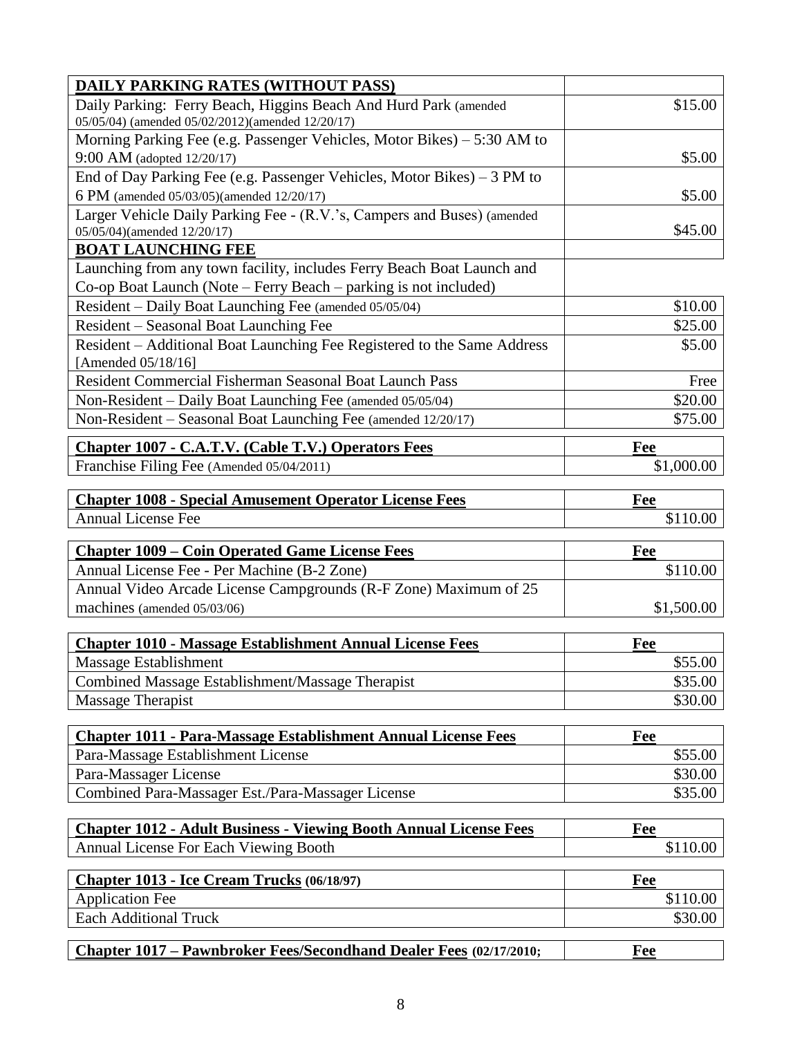| <b>DAILY PARKING RATES (WITHOUT PASS)</b>                                |            |
|--------------------------------------------------------------------------|------------|
| Daily Parking: Ferry Beach, Higgins Beach And Hurd Park (amended         | \$15.00    |
| 05/05/04) (amended 05/02/2012)(amended 12/20/17)                         |            |
| Morning Parking Fee (e.g. Passenger Vehicles, Motor Bikes) – 5:30 AM to  |            |
| 9:00 AM (adopted 12/20/17)                                               | \$5.00     |
| End of Day Parking Fee (e.g. Passenger Vehicles, Motor Bikes) $-3$ PM to |            |
| 6 PM (amended 05/03/05)(amended 12/20/17)                                | \$5.00     |
| Larger Vehicle Daily Parking Fee - (R.V.'s, Campers and Buses) (amended  |            |
| 05/05/04)(amended 12/20/17)                                              | \$45.00    |
| <b>BOAT LAUNCHING FEE</b>                                                |            |
| Launching from any town facility, includes Ferry Beach Boat Launch and   |            |
| Co-op Boat Launch (Note – Ferry Beach – parking is not included)         |            |
| Resident - Daily Boat Launching Fee (amended 05/05/04)                   | \$10.00    |
| Resident – Seasonal Boat Launching Fee                                   | \$25.00    |
| Resident - Additional Boat Launching Fee Registered to the Same Address  | \$5.00     |
| [Amended 05/18/16]                                                       |            |
| Resident Commercial Fisherman Seasonal Boat Launch Pass                  | Free       |
| Non-Resident - Daily Boat Launching Fee (amended 05/05/04)               | \$20.00    |
| Non-Resident – Seasonal Boat Launching Fee (amended 12/20/17)            | \$75.00    |
| <b>Chapter 1007 - C.A.T.V. (Cable T.V.) Operators Fees</b>               | Fee        |
| Franchise Filing Fee (Amended 05/04/2011)                                | \$1,000.00 |
|                                                                          |            |
| <b>Chapter 1008 - Special Amusement Operator License Fees</b>            | Fee        |
|                                                                          |            |
|                                                                          |            |
| <b>Annual License Fee</b>                                                | \$110.00   |
| <b>Chapter 1009 - Coin Operated Game License Fees</b>                    | Fee        |
| Annual License Fee - Per Machine (B-2 Zone)                              | \$110.00   |
| Annual Video Arcade License Campgrounds (R-F Zone) Maximum of 25         |            |
| machines (amended 05/03/06)                                              | \$1,500.00 |
|                                                                          |            |
| <b>Chapter 1010 - Massage Establishment Annual License Fees</b>          | Fee        |
| Massage Establishment                                                    | \$55.00    |
| Combined Massage Establishment/Massage Therapist                         | \$35.00    |
| Massage Therapist                                                        | \$30.00    |
|                                                                          |            |
| <b>Chapter 1011 - Para-Massage Establishment Annual License Fees</b>     | Fee        |
| Para-Massage Establishment License                                       | \$55.00    |
| Para-Massager License                                                    | \$30.00    |
| Combined Para-Massager Est./Para-Massager License                        | \$35.00    |
|                                                                          |            |
| <b>Chapter 1012 - Adult Business - Viewing Booth Annual License Fees</b> | Fee        |
| <b>Annual License For Each Viewing Booth</b>                             | \$110.00   |
|                                                                          |            |
| Chapter 1013 - Ice Cream Trucks (06/18/97)                               | Fee        |
| <b>Application Fee</b>                                                   | \$110.00   |
| <b>Each Additional Truck</b>                                             | \$30.00    |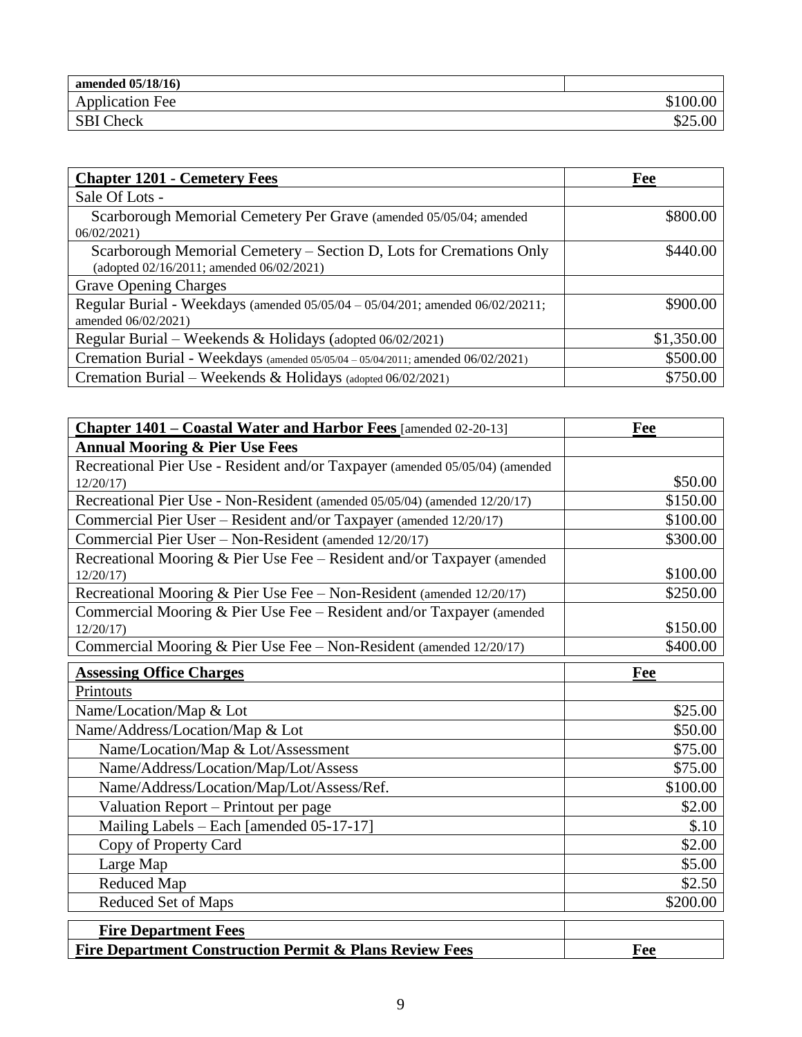| amended 05/18/16)      |             |
|------------------------|-------------|
| <b>Application Fee</b> | \$100<br>00 |
| <b>SBI Check</b>       |             |

| <b>Chapter 1201 - Cemetery Fees</b>                                                                             | Fee        |
|-----------------------------------------------------------------------------------------------------------------|------------|
| Sale Of Lots -                                                                                                  |            |
| Scarborough Memorial Cemetery Per Grave (amended 05/05/04; amended<br>06/02/2021                                | \$800.00   |
| Scarborough Memorial Cemetery – Section D, Lots for Cremations Only<br>(adopted 02/16/2011; amended 06/02/2021) | \$440.00   |
| <b>Grave Opening Charges</b>                                                                                    |            |
| Regular Burial - Weekdays (amended 05/05/04 - 05/04/201; amended 06/02/20211;<br>amended 06/02/2021)            | \$900.00   |
| Regular Burial – Weekends & Holidays (adopted $06/02/2021$ )                                                    | \$1,350.00 |
| Cremation Burial - Weekdays (amended 05/05/04 - 05/04/2011; amended 06/02/2021)                                 | \$500.00   |
| Cremation Burial – Weekends & Holidays (adopted $06/02/2021$ )                                                  | \$750.00   |

| Chapter 1401 - Coastal Water and Harbor Fees [amended 02-20-13]                     | Fee      |
|-------------------------------------------------------------------------------------|----------|
| <b>Annual Mooring &amp; Pier Use Fees</b>                                           |          |
| Recreational Pier Use - Resident and/or Taxpayer (amended 05/05/04) (amended        |          |
| 12/20/17                                                                            | \$50.00  |
| Recreational Pier Use - Non-Resident (amended 05/05/04) (amended 12/20/17)          | \$150.00 |
| Commercial Pier User - Resident and/or Taxpayer (amended 12/20/17)                  | \$100.00 |
| Commercial Pier User – Non-Resident (amended 12/20/17)                              | \$300.00 |
| Recreational Mooring & Pier Use Fee - Resident and/or Taxpayer (amended<br>12/20/17 | \$100.00 |
| Recreational Mooring & Pier Use Fee - Non-Resident (amended 12/20/17)               | \$250.00 |
| Commercial Mooring & Pier Use Fee - Resident and/or Taxpayer (amended               |          |
| 12/20/17                                                                            | \$150.00 |
| Commercial Mooring & Pier Use Fee - Non-Resident (amended 12/20/17)                 | \$400.00 |
| <b>Assessing Office Charges</b>                                                     | Fee      |
| Printouts                                                                           |          |
| Name/Location/Map & Lot                                                             | \$25.00  |
| Name/Address/Location/Map & Lot                                                     | \$50.00  |
| Name/Location/Map & Lot/Assessment                                                  | \$75.00  |
| Name/Address/Location/Map/Lot/Assess                                                | \$75.00  |
| Name/Address/Location/Map/Lot/Assess/Ref.                                           | \$100.00 |
| Valuation Report – Printout per page                                                | \$2.00   |
| Mailing Labels - Each [amended 05-17-17]                                            | \$.10    |
| Copy of Property Card                                                               | \$2.00   |
| Large Map                                                                           | \$5.00   |
| Reduced Map                                                                         | \$2.50   |
| <b>Reduced Set of Maps</b>                                                          | \$200.00 |
| <b>Fire Department Fees</b>                                                         |          |
| <b>Fire Department Construction Permit &amp; Plans Review Fees</b>                  | Fee      |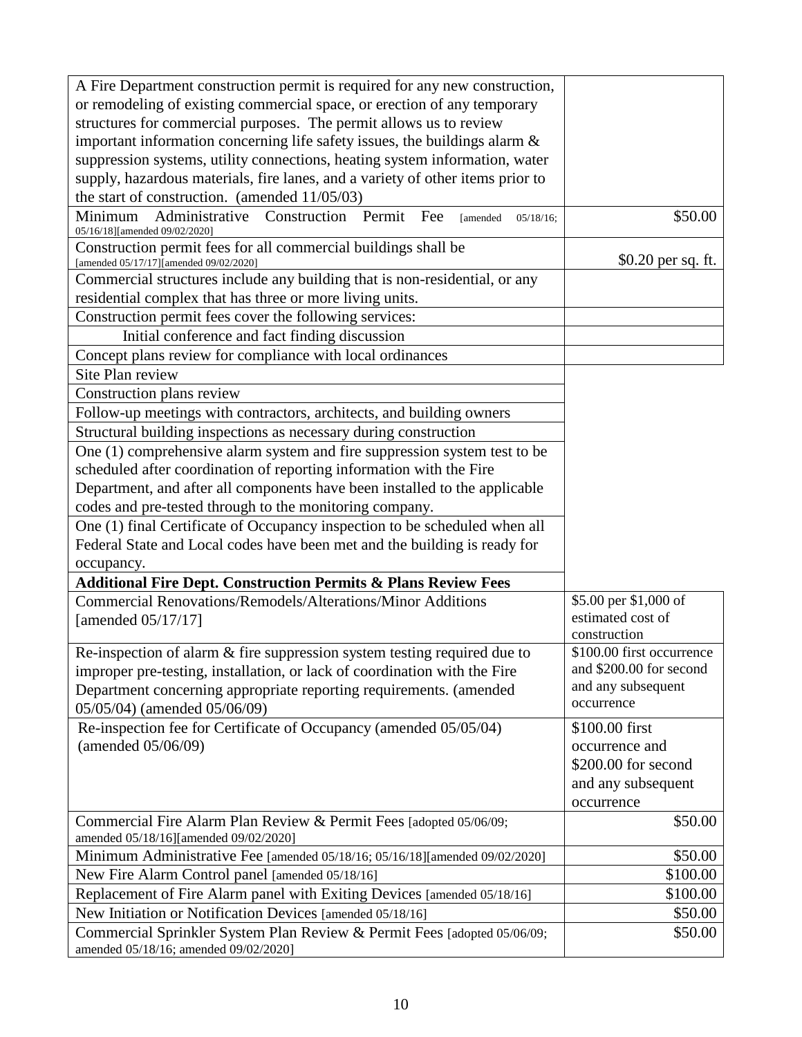| A Fire Department construction permit is required for any new construction,                                 |                                                      |
|-------------------------------------------------------------------------------------------------------------|------------------------------------------------------|
| or remodeling of existing commercial space, or erection of any temporary                                    |                                                      |
| structures for commercial purposes. The permit allows us to review                                          |                                                      |
| important information concerning life safety issues, the buildings alarm &                                  |                                                      |
| suppression systems, utility connections, heating system information, water                                 |                                                      |
| supply, hazardous materials, fire lanes, and a variety of other items prior to                              |                                                      |
| the start of construction. (amended $11/05/03$ )                                                            |                                                      |
| Administrative Construction Permit Fee<br>Minimum<br>[amended<br>$05/18/16$ ;                               | \$50.00                                              |
| 05/16/18][amended 09/02/2020]                                                                               |                                                      |
| Construction permit fees for all commercial buildings shall be<br>[amended 05/17/17] [amended 09/02/2020]   | \$0.20 per sq. ft.                                   |
| Commercial structures include any building that is non-residential, or any                                  |                                                      |
| residential complex that has three or more living units.                                                    |                                                      |
| Construction permit fees cover the following services:                                                      |                                                      |
| Initial conference and fact finding discussion                                                              |                                                      |
| Concept plans review for compliance with local ordinances                                                   |                                                      |
| Site Plan review                                                                                            |                                                      |
|                                                                                                             |                                                      |
| Construction plans review                                                                                   |                                                      |
| Follow-up meetings with contractors, architects, and building owners                                        |                                                      |
| Structural building inspections as necessary during construction                                            |                                                      |
| One (1) comprehensive alarm system and fire suppression system test to be                                   |                                                      |
| scheduled after coordination of reporting information with the Fire                                         |                                                      |
| Department, and after all components have been installed to the applicable                                  |                                                      |
| codes and pre-tested through to the monitoring company.                                                     |                                                      |
| One (1) final Certificate of Occupancy inspection to be scheduled when all                                  |                                                      |
| Federal State and Local codes have been met and the building is ready for                                   |                                                      |
| occupancy.                                                                                                  |                                                      |
| <b>Additional Fire Dept. Construction Permits &amp; Plans Review Fees</b>                                   |                                                      |
| <b>Commercial Renovations/Remodels/Alterations/Minor Additions</b>                                          | \$5.00 per \$1,000 of                                |
| [amended 05/17/17]                                                                                          | estimated cost of                                    |
|                                                                                                             | construction                                         |
| Re-inspection of alarm & fire suppression system testing required due to                                    | \$100.00 first occurrence<br>and \$200.00 for second |
| improper pre-testing, installation, or lack of coordination with the Fire                                   | and any subsequent                                   |
| Department concerning appropriate reporting requirements. (amended                                          | occurrence                                           |
| 05/05/04) (amended 05/06/09)                                                                                |                                                      |
| Re-inspection fee for Certificate of Occupancy (amended 05/05/04)                                           | \$100.00 first                                       |
| (amended 05/06/09)                                                                                          | occurrence and                                       |
|                                                                                                             | \$200.00 for second                                  |
|                                                                                                             | and any subsequent                                   |
|                                                                                                             | occurrence                                           |
| Commercial Fire Alarm Plan Review & Permit Fees [adopted 05/06/09;<br>amended 05/18/16][amended 09/02/2020] | \$50.00                                              |
| Minimum Administrative Fee [amended 05/18/16; 05/16/18][amended 09/02/2020]                                 | \$50.00                                              |
| New Fire Alarm Control panel [amended 05/18/16]                                                             | \$100.00                                             |
| Replacement of Fire Alarm panel with Exiting Devices [amended 05/18/16]                                     | \$100.00                                             |
| New Initiation or Notification Devices [amended 05/18/16]                                                   | \$50.00                                              |
| Commercial Sprinkler System Plan Review & Permit Fees [adopted 05/06/09;                                    | \$50.00                                              |
| amended 05/18/16; amended 09/02/2020]                                                                       |                                                      |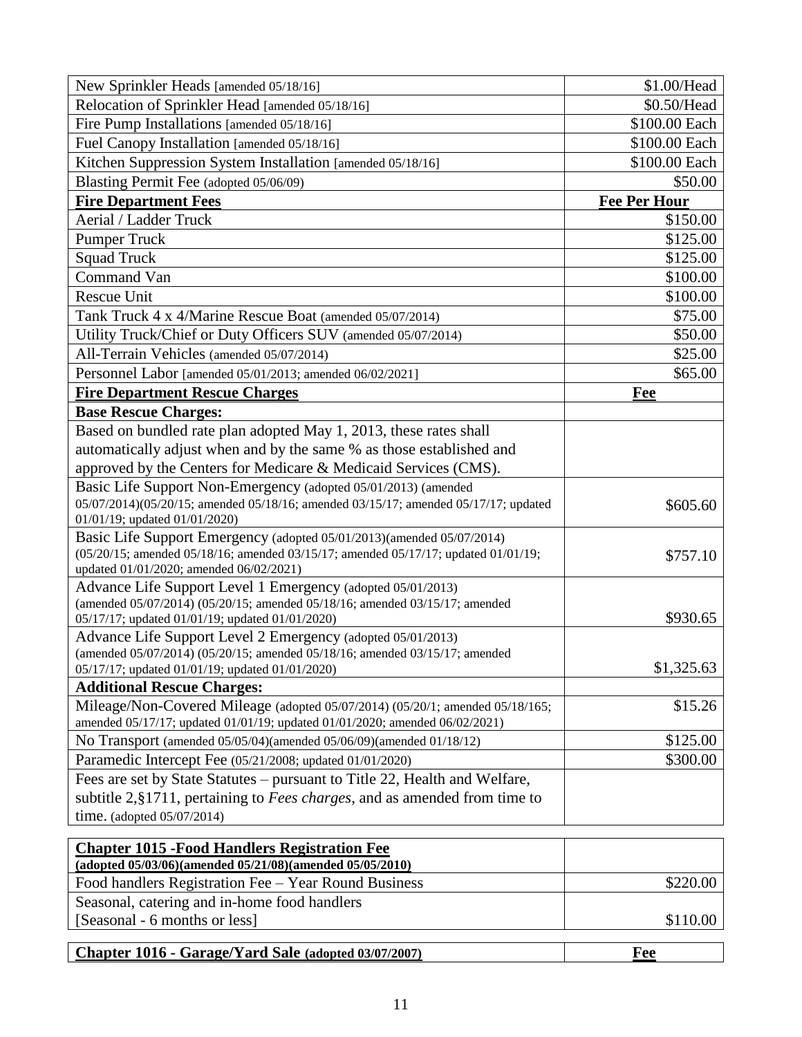| New Sprinkler Heads [amended 05/18/16]                                                                                         | \$1.00/Head         |
|--------------------------------------------------------------------------------------------------------------------------------|---------------------|
| Relocation of Sprinkler Head [amended 05/18/16]                                                                                | \$0.50/Head         |
| Fire Pump Installations [amended 05/18/16]                                                                                     | \$100.00 Each       |
| Fuel Canopy Installation [amended 05/18/16]                                                                                    | \$100.00 Each       |
| Kitchen Suppression System Installation [amended 05/18/16]                                                                     | \$100.00 Each       |
| Blasting Permit Fee (adopted 05/06/09)                                                                                         | \$50.00             |
| <b>Fire Department Fees</b>                                                                                                    | <b>Fee Per Hour</b> |
| Aerial / Ladder Truck                                                                                                          | \$150.00            |
| <b>Pumper Truck</b>                                                                                                            | \$125.00            |
| <b>Squad Truck</b>                                                                                                             | \$125.00            |
| Command Van                                                                                                                    | \$100.00            |
| Rescue Unit                                                                                                                    | \$100.00            |
| Tank Truck 4 x 4/Marine Rescue Boat (amended 05/07/2014)                                                                       | \$75.00             |
| Utility Truck/Chief or Duty Officers SUV (amended 05/07/2014)                                                                  | \$50.00             |
| All-Terrain Vehicles (amended 05/07/2014)                                                                                      | \$25.00             |
| Personnel Labor [amended 05/01/2013; amended 06/02/2021]                                                                       | \$65.00             |
| <b>Fire Department Rescue Charges</b>                                                                                          | Fee                 |
| <b>Base Rescue Charges:</b>                                                                                                    |                     |
| Based on bundled rate plan adopted May 1, 2013, these rates shall                                                              |                     |
| automatically adjust when and by the same % as those established and                                                           |                     |
| approved by the Centers for Medicare & Medicaid Services (CMS).                                                                |                     |
| Basic Life Support Non-Emergency (adopted 05/01/2013) (amended                                                                 |                     |
| 05/07/2014)(05/20/15; amended 05/18/16; amended 03/15/17; amended 05/17/17; updated                                            | \$605.60            |
| 01/01/19; updated 01/01/2020)                                                                                                  |                     |
| Basic Life Support Emergency (adopted 05/01/2013)(amended 05/07/2014)                                                          |                     |
| (05/20/15; amended 05/18/16; amended 03/15/17; amended 05/17/17; updated 01/01/19;                                             | \$757.10            |
| updated 01/01/2020; amended 06/02/2021)                                                                                        |                     |
| Advance Life Support Level 1 Emergency (adopted 05/01/2013)                                                                    |                     |
| (amended 05/07/2014) (05/20/15; amended 05/18/16; amended 03/15/17; amended<br>05/17/17; updated 01/01/19; updated 01/01/2020) | \$930.65            |
| Advance Life Support Level 2 Emergency (adopted 05/01/2013)                                                                    |                     |
| (amended 05/07/2014) (05/20/15; amended 05/18/16; amended 03/15/17; amended                                                    |                     |
| 05/17/17; updated 01/01/19; updated 01/01/2020)                                                                                | \$1,325.63          |
| <b>Additional Rescue Charges:</b>                                                                                              |                     |
| Mileage/Non-Covered Mileage (adopted 05/07/2014) (05/20/1; amended 05/18/165;                                                  | \$15.26             |
| amended 05/17/17; updated 01/01/19; updated 01/01/2020; amended 06/02/2021)                                                    |                     |
| No Transport (amended 05/05/04)(amended 05/06/09)(amended 01/18/12)                                                            | \$125.00            |
| Paramedic Intercept Fee (05/21/2008; updated 01/01/2020)                                                                       | \$300.00            |
| Fees are set by State Statutes – pursuant to Title 22, Health and Welfare,                                                     |                     |
| subtitle 2, §1711, pertaining to <i>Fees charges</i> , and as amended from time to                                             |                     |
| time. (adopted 05/07/2014)                                                                                                     |                     |
|                                                                                                                                |                     |
| <b>Chapter 1015 - Food Handlers Registration Fee</b><br>(adopted 05/03/06)(amended 05/21/08)(amended 05/05/2010)               |                     |
| Food handlers Registration Fee - Year Round Business                                                                           | \$220.00            |
| Seasonal, catering and in-home food handlers                                                                                   |                     |
| [Seasonal - 6 months or less]                                                                                                  | \$110.00            |
|                                                                                                                                |                     |
| Chapter 1016 - Garage/Yard Sale (adopted 03/07/2007)                                                                           | <b>Fee</b>          |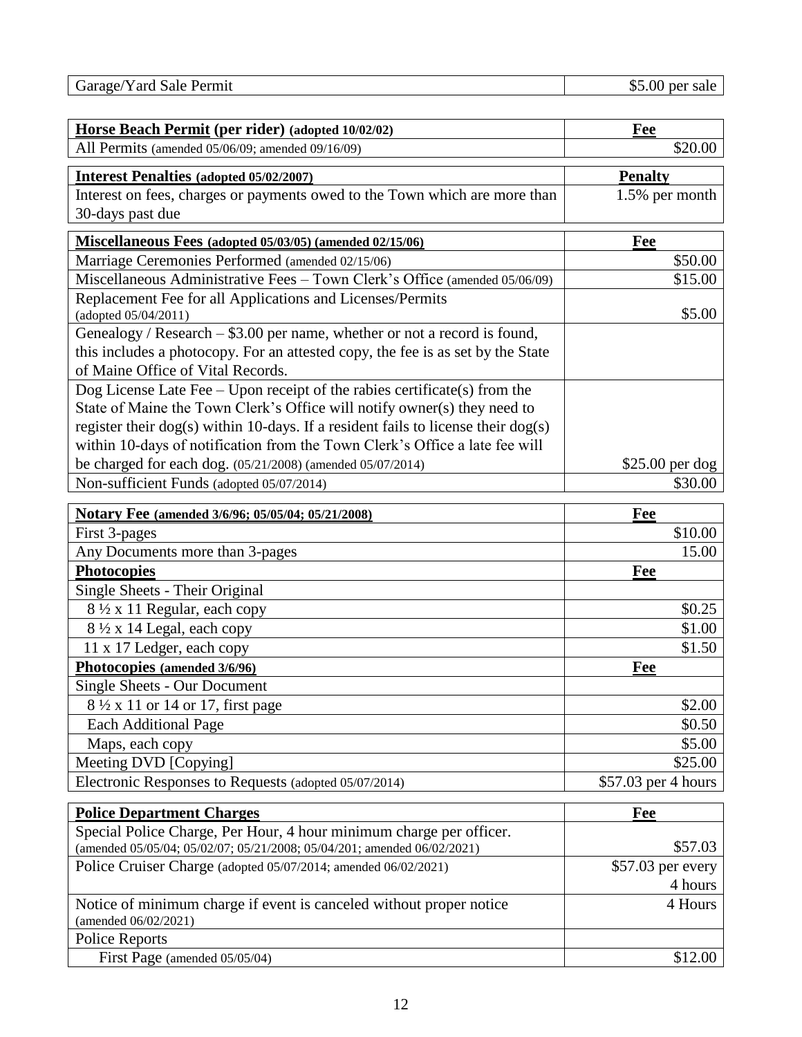Garage/Yard Sale Permit \$5.00 per sale

| Horse Beach Permit (per rider) (adopted 10/02/02)                                       | <b>Fee</b>           |
|-----------------------------------------------------------------------------------------|----------------------|
| All Permits (amended 05/06/09; amended 09/16/09)                                        | \$20.00              |
| <b>Interest Penalties (adopted 05/02/2007)</b>                                          | <b>Penalty</b>       |
| Interest on fees, charges or payments owed to the Town which are more than              | 1.5% per month       |
| 30-days past due                                                                        |                      |
| Miscellaneous Fees (adopted 05/03/05) (amended 02/15/06)                                | Fee                  |
| Marriage Ceremonies Performed (amended 02/15/06)                                        | \$50.00              |
| Miscellaneous Administrative Fees - Town Clerk's Office (amended 05/06/09)              | \$15.00              |
| Replacement Fee for all Applications and Licenses/Permits                               |                      |
| (adopted 05/04/2011)                                                                    | \$5.00               |
| Genealogy / Research - \$3.00 per name, whether or not a record is found,               |                      |
| this includes a photocopy. For an attested copy, the fee is as set by the State         |                      |
| of Maine Office of Vital Records.                                                       |                      |
| Dog License Late Fee $-$ Upon receipt of the rabies certificate(s) from the             |                      |
| State of Maine the Town Clerk's Office will notify owner(s) they need to                |                      |
| register their $\log(s)$ within 10-days. If a resident fails to license their $\log(s)$ |                      |
| within 10-days of notification from the Town Clerk's Office a late fee will             |                      |
| be charged for each dog. (05/21/2008) (amended 05/07/2014)                              | $$25.00$ per dog     |
| Non-sufficient Funds (adopted 05/07/2014)                                               | \$30.00              |
| Notary Fee (amended 3/6/96; 05/05/04; 05/21/2008)                                       | Fee                  |
| First 3-pages                                                                           | \$10.00              |
| Any Documents more than 3-pages                                                         | 15.00                |
| Photocopies                                                                             | Fee                  |
| Single Sheets - Their Original                                                          |                      |
| 8 1/2 x 11 Regular, each copy                                                           | \$0.25               |
| 8 ½ x 14 Legal, each copy                                                               | \$1.00               |
| 11 x 17 Ledger, each copy                                                               | \$1.50               |
| Photocopies (amended 3/6/96)                                                            | Fee                  |
| <b>Single Sheets - Our Document</b>                                                     |                      |
| 8 1/2 x 11 or 14 or 17, first page                                                      | \$2.00               |
| <b>Each Additional Page</b>                                                             | \$0.50               |
| Maps, each copy                                                                         | \$5.00               |
| Meeting DVD [Copying]                                                                   | \$25.00              |
| Electronic Responses to Requests (adopted 05/07/2014)                                   | $$57.03$ per 4 hours |
| <b>Police Department Charges</b>                                                        | Fee                  |
| Special Police Charge, Per Hour, 4 hour minimum charge per officer.                     |                      |
| (amended 05/05/04; 05/02/07; 05/21/2008; 05/04/201; amended 06/02/2021)                 | \$57.03              |
| Police Cruiser Charge (adopted 05/07/2014; amended 06/02/2021)                          | $$57.03$ per every   |
|                                                                                         | 4 hours              |
| Notice of minimum charge if event is canceled without proper notice                     | 4 Hours              |
| (amended 06/02/2021)                                                                    |                      |
| <b>Police Reports</b>                                                                   |                      |
| First Page (amended 05/05/04)                                                           | \$12.00              |